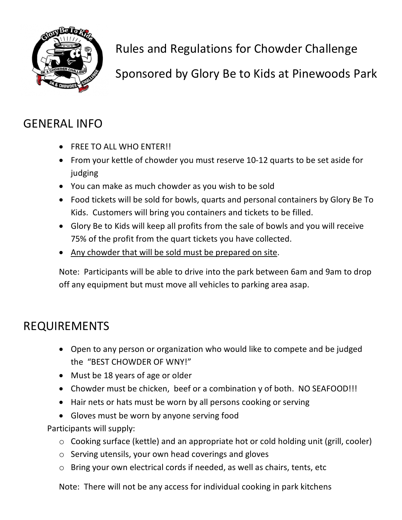

Rules and Regulations for Chowder Challenge

Sponsored by Glory Be to Kids at Pinewoods Park

## GENERAL INFO

- FREE TO ALL WHO ENTER!!
- From your kettle of chowder you must reserve 10-12 quarts to be set aside for judging
- You can make as much chowder as you wish to be sold
- Food tickets will be sold for bowls, quarts and personal containers by Glory Be To Kids. Customers will bring you containers and tickets to be filled.
- Glory Be to Kids will keep all profits from the sale of bowls and you will receive 75% of the profit from the quart tickets you have collected.
- Any chowder that will be sold must be prepared on site.

Note: Participants will be able to drive into the park between 6am and 9am to drop off any equipment but must move all vehicles to parking area asap.

## REQUIREMENTS

- Open to any person or organization who would like to compete and be judged the "BEST CHOWDER OF WNY!"
- Must be 18 years of age or older
- Chowder must be chicken, beef or a combination y of both. NO SEAFOOD!!!
- Hair nets or hats must be worn by all persons cooking or serving
- Gloves must be worn by anyone serving food

Participants will supply:

- o Cooking surface (kettle) and an appropriate hot or cold holding unit (grill, cooler)
- o Serving utensils, your own head coverings and gloves
- o Bring your own electrical cords if needed, as well as chairs, tents, etc

Note: There will not be any access for individual cooking in park kitchens